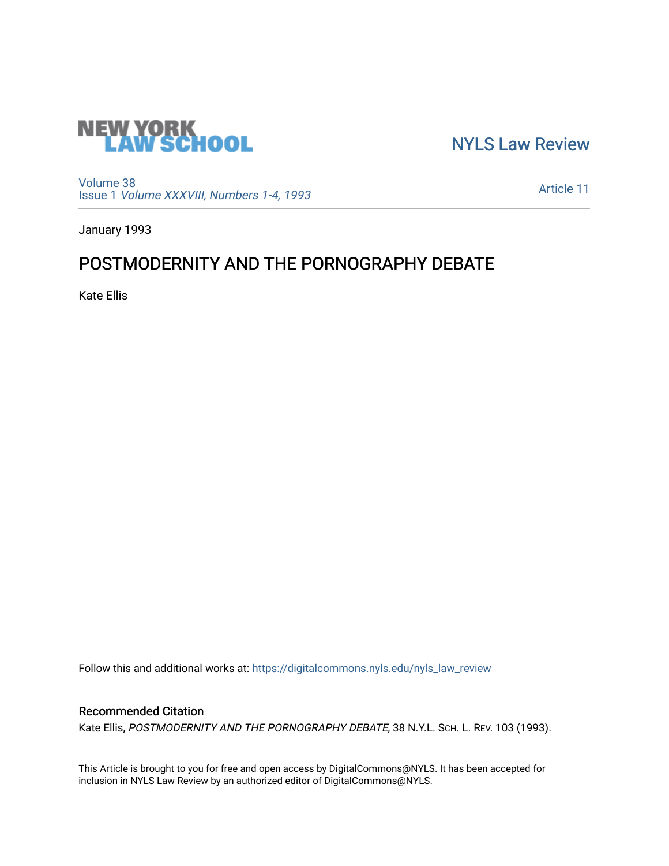

[NYLS Law Review](https://digitalcommons.nyls.edu/nyls_law_review) 

[Volume 38](https://digitalcommons.nyls.edu/nyls_law_review/vol38) Issue 1 [Volume XXXVIII, Numbers 1-4, 1993](https://digitalcommons.nyls.edu/nyls_law_review/vol38/iss1)

[Article 11](https://digitalcommons.nyls.edu/nyls_law_review/vol38/iss1/11) 

January 1993

## POSTMODERNITY AND THE PORNOGRAPHY DEBATE

Kate Ellis

Follow this and additional works at: [https://digitalcommons.nyls.edu/nyls\\_law\\_review](https://digitalcommons.nyls.edu/nyls_law_review?utm_source=digitalcommons.nyls.edu%2Fnyls_law_review%2Fvol38%2Fiss1%2F11&utm_medium=PDF&utm_campaign=PDFCoverPages) 

## Recommended Citation

Kate Ellis, POSTMODERNITY AND THE PORNOGRAPHY DEBATE, 38 N.Y.L. SCH. L. REV. 103 (1993).

This Article is brought to you for free and open access by DigitalCommons@NYLS. It has been accepted for inclusion in NYLS Law Review by an authorized editor of DigitalCommons@NYLS.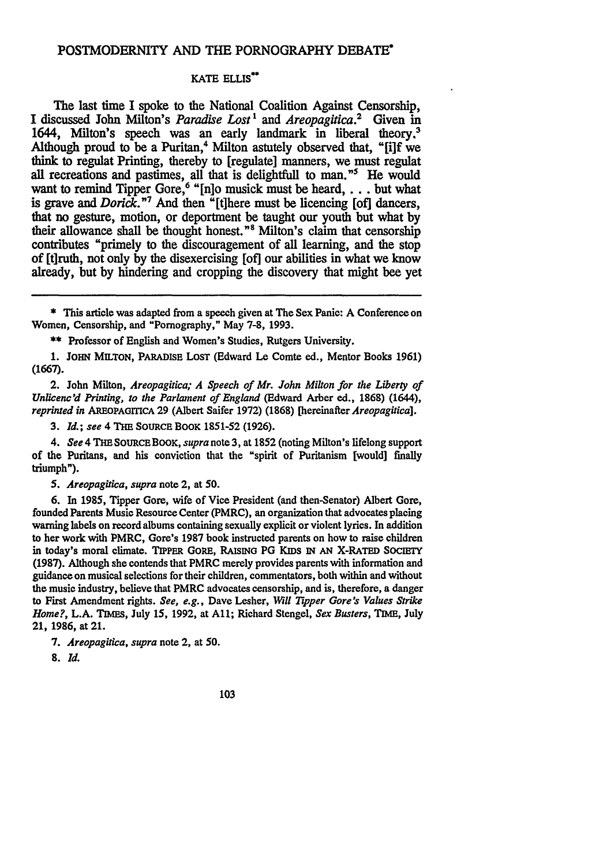## POSTMODERNITY **AND** THE PORNOGRAPHY **DEBATE"**

## KATE **ELLIS"**

The last time I spoke to the National Coalition Against Censorship, **I** discussed John Milton's *Paradise Lost1 and Areopagitica.2* Given in 1644, Milton's speech was an early landmark in liberal theory.' Although proud to be a Puritan,<sup>4</sup> Milton astutely observed that, "[i]f we think to regulat Printing, thereby to [regulate] manners, we must regulat all recreations and pastimes, all that is delightfull to man."<sup>5</sup> He would want to remind Tipper Gore,6 **"[nio** musick must be **heard,...** but what is grave and *Dorick*."<sup>7</sup> And then "[t]here must be licencing [of] dancers, that no gesture, motion, or deportment be taught our youth but what **by** their allowance shall be thought honest."<sup>8</sup> Milton's claim that censorship contributes "primely to the discouragement of all learning, and the stop of [tiruth, not only **by** the disexercising [of] our abilities in what we know already, but **by** hindering and cropping the discovery that might bee yet

\* This article was adapted from a speech given at The Sex Panic: A Conference on Women, Censorship, and "Pornography," May 7-8, 1993.

\*\* Professor of English and Women's Studies, Rutgers University.

1. **JOHN MILTON,** PARADISE LOST (Edward Le Comte ed., Mentor Books 1961) (1667).

2. John Milton, *Areopagitica; A Speech of Mr. John Milton for the Liberty of Unlicenc'd Printing, to the Parlament of England* (Edward Arber ed., **1868)** (1644), *reprinted in* **AREOPAGITICA 29** (Albert Saifer 1972) (1868) [hereinafter *Areopagitica].*

*3. Id.; see* 4 **THE SOURCE** BOOK 1851-52 (1926).

*4. See* 4 **THE SOURCE** BOOK, *supra* note 3, at 1852 (noting Milton's lifelong support of the Puritans, and his conviction that the "spirit of Puritanism [would] finally triumph").

*5. Areopagitica, supra* note 2, at **50.**

**6.** In 1985, Tipper Gore, wife of Vice President (and then-Senator) Albert Gore, founded Parents Music Resource Center (PMRC), an organization that advocates placing warning labels on record albums containing sexually explicit or violent lyrics. In addition **to** her work with PMRC, Gore's 1987 book instructed parents on how to raise children in today's moral climate. TIPPER GORE, **RAISING PG KIDS IN AN X-RATED SOCIETY (1987).** Although she contends that PMRC merely provides parents with information and guidance on musical selections for their children, commentators, both within and without the music industry, believe that PMRC advocates censorship, and is, therefore, a danger to First Amendment rights. *See, e.g.,* Dave Lesher, *Will Tipper Gore's Values Strike Home?,* L.A. TIMEs, July 15, 1992, at All; Richard Stengel, *Sex Busters,* **TIME,** July 21, **1986,** at 21.

*7. Areopagitica, supra* note 2, at 50.

*8. Id.*

103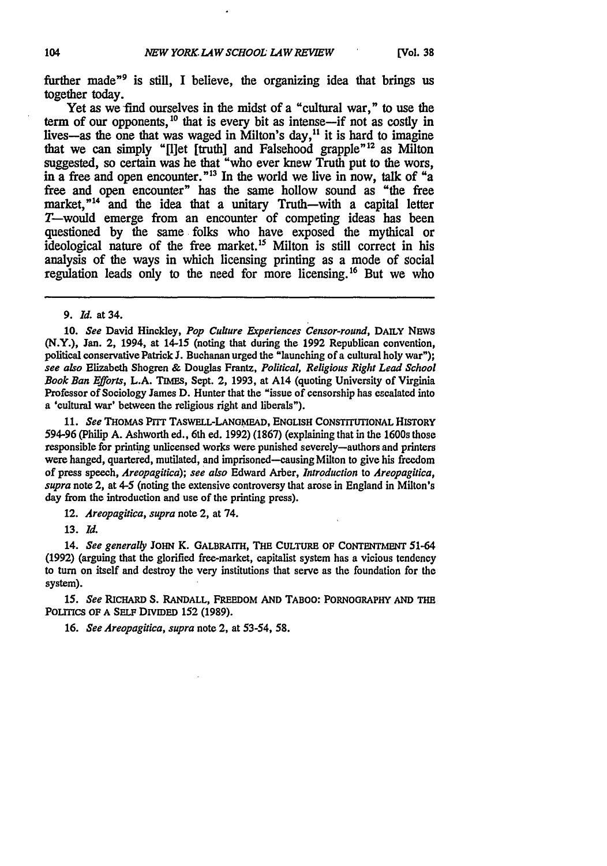further made<sup>"</sup> is still. I believe, the organizing idea that brings us together today.

Yet as we find ourselves in the midst of a "cultural war," to use the term of our opponents,<sup>10</sup> that is every bit as intense-if not as costly in lives-as the one that was waged in Milton's day,<sup>11</sup> it is hard to imagine that we can simply "[I]et [truth] and Falsehood grapple<sup>"12</sup> as Milton suggested, so certain was he that "who ever knew Truth put to the wors, in a free and open encounter."<sup>13</sup> In the world we live in now, talk of "a free and open encounter" has the same hollow sound as "the free market," $14$  and the idea that a unitary Truth-with a capital letter T-would emerge from an encounter of competing ideas has been questioned by the same folks who have exposed the mythical or ideological nature of the free market.<sup>15</sup> Milton is still correct in his analysis of the ways in which licensing printing as a mode of social regulation leads only to the need for more licensing.<sup>16</sup> But we who

**10.** *See* David Hinckley, *Pop Culture Experiences Censor-round,* **DAILY NEws** (N.Y.), Jan. 2, 1994, at 14-15 (noting that during the 1992 Republican convention, political conservative Patrick **J.** Buchanan urged the "launching of a cultural holy war"); *see also* Elizabeth Shogren **&** Douglas Frantz, *Political, Religious* Right *Lead School Book Ban Efforts,* L.A. **TIMES,** Sept. 2, 1993, at A14 (quoting University of Virginia Professor of Sociology James D. Hunter that the "issue of censorship has escalated into a 'cultural war' between the religious right and liberals").

**11.** *See* **THOMAS PITT TASWELL-LANGMEAD, ENGLISH CONSTITUTIONAL HISTORY 594-96** (Philip **A.** Ashworth ed., 6th ed. **1992) (1867)** (explaining that in the 1600s those responsible for printing unlicensed works were punished severely-authors and printers were hanged, quartered, mutilated, and imprisoned-causing Milton to give his freedom of press speech, *Areopagitica); see also* Edward Arber, *Introduction* to *Areopagitica, supra* note 2, at 4-5 (noting the extensive controversy that arose in England in Milton's day from the introduction and use of the printing press).

12. *Areopagitica, supra* note 2, at 74.

**13.** *Id.*

14. *See generally* JOHN K. **GALBRAITH, THE CULTURE OF CONTENTMENT** 51-64 (1992) (arguing that the glorified free-market, capitalist system has a vicious tendency to turn on itself and destroy the very institutions that serve as the foundation for the system).

*15. See* **RICHARD** *S.* **RANDALL, FREEDOM AND TABOO: PORNOGRAPHY AND THE POLITICS OF A SELF DIVIDED 152 (1989).**

16. *See Areopagitica, supra* note 2, at 53-54, **58.**

<sup>9.</sup> *Id.* at 34.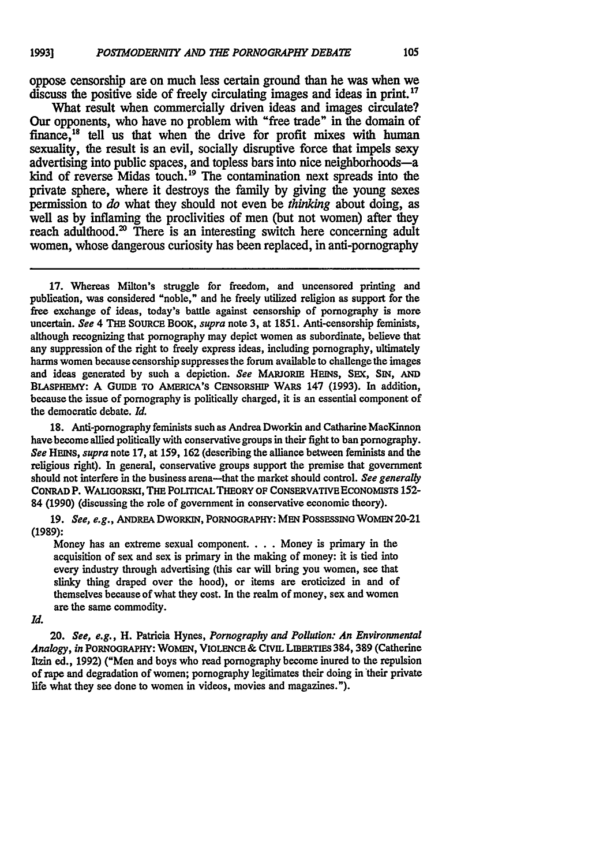oppose censorship are on much less certain ground than he was when we discuss the positive side of freely circulating images and ideas in print. **<sup>17</sup>**

What result when commercially driven ideas and images circulate? Our opponents, who have no problem with "free trade" in the domain of finance,<sup>18</sup> tell us that when the drive for profit mixes with human sexuality, the result is an evil, socially disruptive force that impels sexy advertising into public spaces, and topless bars into nice neighborhoods-a kind of reverse Midas touch.<sup>19</sup> The contamination next spreads into the private sphere, where it destroys the family by giving the young sexes permission to *do* what they should not even be *thinking* about doing, as well as by inflaming the proclivities of men (but not women) after they reach adulthood. $\infty$  There is an interesting switch here concerning adult women, whose dangerous curiosity has been replaced, in anti-pornography

**17.** Whereas Milton's struggle for freedom, and uncensored printing and publication, was considered "noble," and he freely utilized religion as support for the free exchange of ideas, today's battle against censorship of pornography is more uncertain. *See* 4 **THE** SouRcE BOOK, *supra* note **3,** at **1851.** Anti-censorship feminists, although recognizing that pornography may depict women as subordinate, believe that any suppression of the right to freely express ideas, including pornography, ultimately harms women because censorship suppresses the forum available to challenge the images and ideas generated **by** such a depiction. *See* MARJORIE HEINS, SEx, SIN, **AND** BLASPHEMY: A GuIDE **TO AMERICA'S CENSORSHIP** WARS 147 (1993). In addition, because the issue of pornography is politically charged, it is an essential component of the democratic debate. *Id.*

**18.** Anti-pornography feminists such as Andrea Dworkin and Catharine MacKinnon have become allied politically with conservative groups in their fight to ban pornography. *See* **HEINS,** *supra* note 17, at 159, **162** (describing the alliance between feminists and the religious right). In general, conservative groups support the premise that government should not interfere in the business arena-that the market should control. *See generally* CONRAD P. WAkGoRsKI, THE POLITICAL **THEORY OF CONSERVATIVE ECONOMISTS** 152- 84 **(1990)** (discussing the role of government in conservative economic theory).

**19.** *See, e.g.,* ANDREA DWORKIN, PORNOGRAPHY: MEN POSSESSING WOMEN20-21 **(1989):**

Money has an extreme sexual component. . . . Money is primary in the acquisition of sex and sex is primary in the making of money: it is tied into every industry through advertising (this car will bring you women, see that slinky thing draped over the hood), or items are eroticized in and of themselves because of what they cost. In the realm of money, sex and women are the same commodity.

*Id.*

20. *See, e.g.,* H. Patricia Hynes, *Pornography and Pollution: An Environmental Analogy, in* PORNOGRAPHY: WOMEN, VIOLENCE **& CIVIL** LmERTIES 384, 389 (Catherine Itzin ed., **1992)** ("Men and boys who read pornography become inured to the repulsion of rape and degradation of women; pornography legitimates their doing in their private life what they see done to women in videos, movies and magazines.").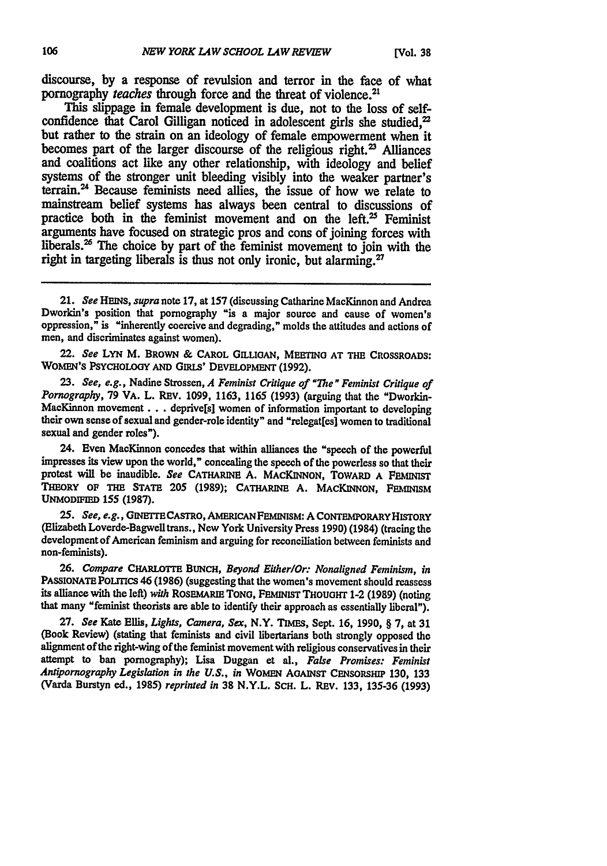discourse, **by** a response of revulsion and terror in the face of what pornography *teaches* through force and the threat of violence.<sup>21</sup>

This slippage in female development is due, not to the loss of selfconfidence that Carol Gilligan noticed in adolescent girls she studied.<sup>22</sup> but rather to the strain on an ideology of female empowerment when it becomes part of the larger discourse of the religious right.<sup>23</sup> Alliances and coalitions act like any other relationship, with ideology and belief systems of the stronger unit bleeding visibly into the weaker partner's terrain.<sup>24</sup> Because feminists need allies, the issue of how we relate to mainstream belief systems has always been central to discussions of practice both in the feminist movement and on the left. $25$  Feminist arguments have focused on strategic pros and cons of joining forces with liberals.<sup>26</sup> The choice by part of the feminist movement to join with the right in targeting liberals is thus not only ironic, but alarming.<sup>27</sup>

22. *See* LYN M. BRowN **& CAROL GILLIOAN, MEETING AT THE CROSSROADS:** WOMEN'S PSYCHOLOGY AND GIRLS' DEVELOPMENT (1992).

**23.** *See, e.g.,* Nadine Strossen, *A Feminist Critique of "The" Feminist Critique of Pornography,* **79** VA. L. REv. **1099, 1163,** 1165 **(1993)** (arguing that the "Dworkin-MacKinnon **movement...** deprive[s] women of information important to developing their own sense of sexual and gender-role identity" and "relegat[es] women to traditional sexual and gender roles").

24. Even MacKinnon concedes **that** within alliances the "speech of the powerful impresses its view upon the world," concealing the speech of the powerless so that their protest will **be** inaudible. *See* CATHARINE **A. MACKINNON,** TOwARD **A** PEMINIST THEORY **OF THE STATE 205 (1989); CATHARINE A. MACKINNON, FEMINISM UNMODFIED** 155 **(1987).**

*25. See, e.g.,* **GINETTECASTRO, AMERICANFEMINISM: A CONTEMPORARYHISTORY** (Elizabeth Loverde-Bagwell trans., New York University Press **1990)** (1984) (tracing the development of American feminism and arguing for reconciliation between feminists and non-feminists).

**26.** *Compare CHARLOTTE* **BUNCH,** *Beyond Either/Or: Nonaligned Feminism, in* PASSIONATE POLITICS 46 (1986) (suggesting that the women's movement should reassess its alliance with the **left)** *with* **ROSEMARIE TONG, FEMINIST** THouoHT 1-2 **(1989)** (noting **that many "feminist** theorists are able to identify their approach as essentially liberal").

**27.** *See* Kate Ellis, *Lights, Camera, Sex,* N.Y. **TIMES,** Sept. **16, 1990,** § **7,** at **31** (Book Review) (stating that feminists and civil libertarians both strongly opposed the alignment of the right-wing of the feminist movement with religious conservatives in their attempt to ban pornography); Lisa Duggan et al., *False Promises: Feminist Antipornography Legislation in the U.S., in* **WOMEN AGAINST CENSORSHIP 130,** 133 (Varda Burstyn ed., **1985)** *reprinted in* **38 N.Y.L. SCH.** L. REv. 133, 135-36 **(1993)**

<sup>21.</sup> *See HEINS, supra* note **17,** at **157** (discussing Catharine MacKinnon and Andrea Dworkin's position that pornography "is a major source and cause of women's oppression," is "inherently coercive and degrading," molds the attitudes and actions of men, and discriminates against women).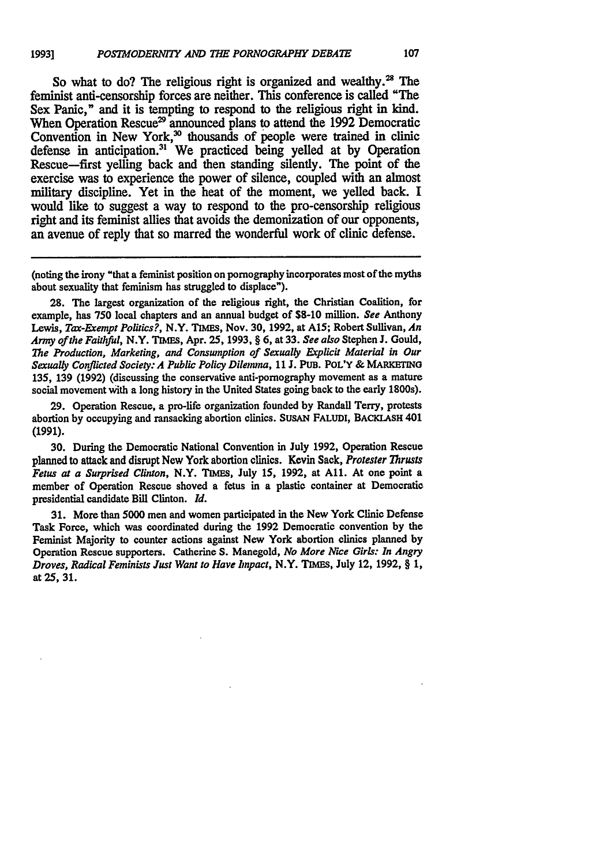So what to do? The religious right is organized and wealthy.<sup>28</sup> The feminist anti-censorship forces are neither. This conference is called "The Sex Panic," and it is tempting to respond to the religious right in kind. When Operation Rescue<sup>29</sup> announced plans to attend the 1992 Democratic Convention in New York,<sup>30</sup> thousands of people were trained in clinic defense in anticipation." We practiced being yelled at **by** Operation Rescue-first yelling back and then standing silently. The point of the exercise was to experience the power of silence, coupled with an almost military discipline. Yet in the heat of the moment, we yelled back. **I** would like to suggest a way to respond to the pro-censorship religious right and its feminist allies that avoids the demonization of our opponents, an avenue of reply that so marred the wonderful work of clinic defense.

(noting the irony "that a feminist position on pornography incorporates most of the myths about sexuality that feminism has struggled to displace").

28. The largest organization of the religious right, the Christian Coalition, for example, has **750** local chapters and an annual budget of **\$8-10** million. *See* Anthony Lewis, *Tax-Exempt Politics?,* N.Y. **TIMES,** Nov. **30,** 1992, at A15; Robert Sullivan, *An Army ofthe Faithful,* N.Y. TIIES, Apr. **25,** 1993, § 6, at 33. *See also* Stephen **J.** Gould, *The Production, Marketing, and Consumption of Sexually Explicit Material in Our Sexually Conflicted Society: A Public Policy Dilemma,* **11 J. PUB.** POL'Y **& MARKETING 135, 139 (1992)** (discussing the conservative anti-pornography movement as a mature social movement with a long history in the United States going back **to** the early **1800s).**

**29.** Operation Rescue, a pro-life organization founded **by** Randall Terry, protests abortion **by** occupying and ransacking abortion clinics. **SUsAN FALUDI, BACKLAsH** 401 **(1991).**

**30.** During the Democratic National Convention in July 1992, Operation Rescue planned **to** attack and disrupt New York abortion clinics. Kevin Sack, *Protester Thrusts Fetus at a Surprised Clinton,* N.Y. **TIMES,** July 15, 1992, at All. At one point a member of Operation Rescue shoved a fetus in a plastic container at Democratic presidential candidate Bill Clinton. *Id.*

31. More than 5000 men and women participated in the New York Clinic Defense Task Force, which was coordinated during the 1992 Democratic convention **by** the Feminist Majority to counter actions against New York abortion clinics planned **by** Operation Rescue supporters. Catherine **S.** Manegold, *No More Nice Girls: In Angry Droves, Radical Feminists Just Want to Have Znpact,* N.Y. TIMEs, July 12, 1992, § 1, at 25, 31.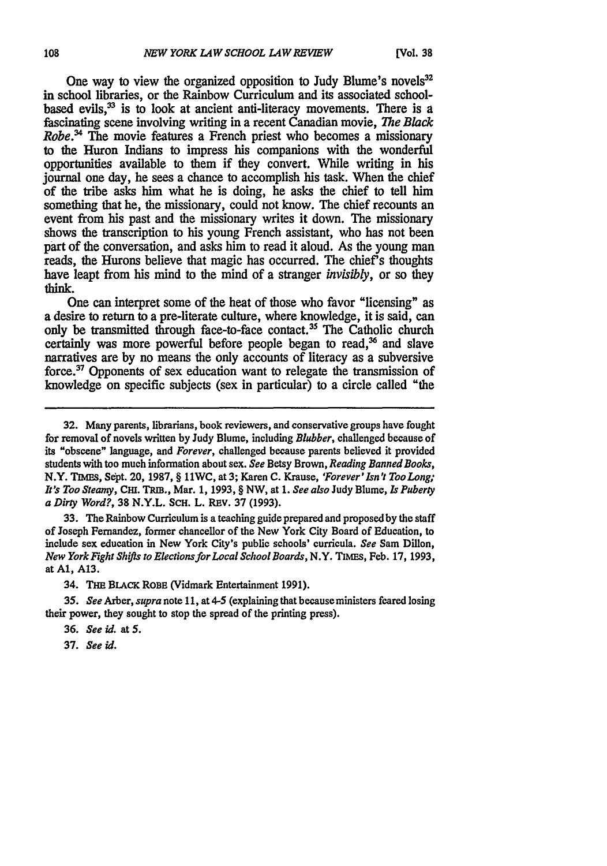One way to view the organized opposition to Judy Blume's novels<sup>32</sup> in school libraries, or the Rainbow Curriculum and its associated schoolbased evils, $33$  is to look at ancient anti-literacy movements. There is a fascinating scene involving writing in a recent Canadian movie, *The Black Robe*<sup>34</sup> The movie features a French priest who becomes a missionary to the Huron Indians to impress his companions with the wonderful opportunities available to them if they convert. While writing in his journal one day, he sees a chance to accomplish his task. When the chief of the tribe asks him what he is doing, he asks the chief to tell him something that he, the missionary, could not know. The chief recounts an event from his past and the missionary writes it down. The missionary shows the transcription to his young French assistant, who has not been part of the conversation, and asks him to read it aloud. As the young man reads, the Hurons believe that magic has occurred. The chief's thoughts have leapt from his mind to the mind of a stranger *invisibly,* or so they think.

One can interpret some of the heat of those who favor "licensing" as a desire to return to a pre-literate culture, where knowledge, it is said, can only be transmitted through face-to-face contact.<sup>35</sup> The Catholic church certainly was more powerful before people began to read,<sup>36</sup> and slave narratives are by no means the only accounts of literacy as a subversive force.<sup>37</sup> Opponents of sex education want to relegate the transmission of knowledge on specific subjects (sex in particular) to a circle called "the

33. The Rainbow Curriculum is a teaching guide prepared and proposed **by** the staff of Joseph Fernandez, former chancellor of the New York City Board of Education, to include sex education in New York City's public schools' curricula. *See* Sam Dillon, *New York Fight Shifts to Elections for Local School Boards,* N.Y. TIMEs, Feb. 17, 1993, at **Al, A13.**

34. THE **BLACK** ROBE (Vidmark Entertainment 1991).

*35. See* Arber, *supra* note 11, at 4-5 (explaining that because ministers feared losing their power, they sought to stop the spread of the printing press).

**36.** *See id.* at **5.**

**37.** *See id.*

**<sup>32.</sup>** Many parents, librarians, book reviewers, and conservative groups have fought for removal of novels written **by** Judy Blume, including *Blubber,* challenged because of its "obscene" language, and *Forever,* challenged because parents believed it provided students with too much information about sex. *See* Betsy Brown, *Reading Banned Books,* N.Y. **TnIM, Sept.** 20, 1987, § I1WC, at3; Karen **C.** Krause, *'Forever'Isn't TooLong; It's Too Steamy,* **Cm.** TRm., Mar. 1, 1993, § NW, at *1. See also* Judy Blume, **Is** *Puberty a Dirty Word?,* **38** N.Y.L. ScH. L. REv. 37 (1993).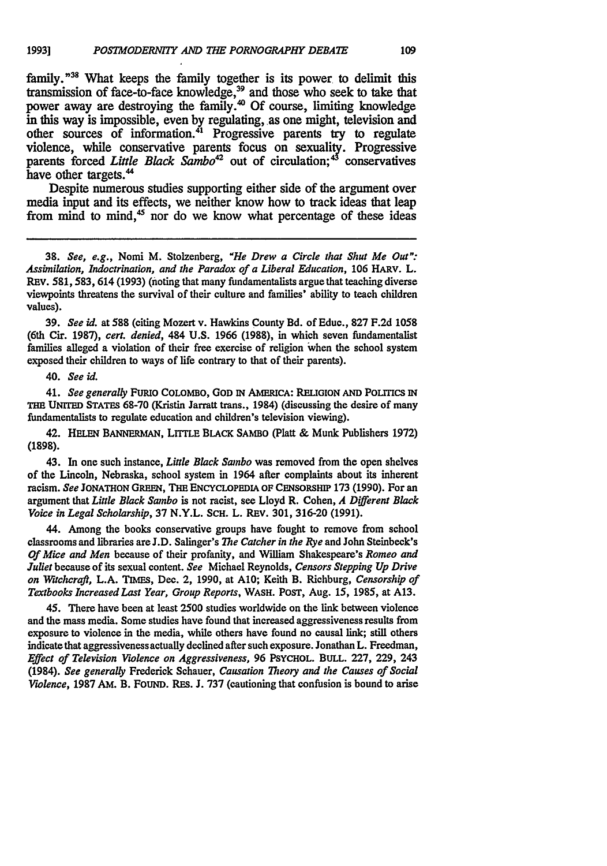family."<sup>38</sup> What keeps the family together is its power to delimit this transmission of face-to-face knowledge,<sup>39</sup> and those who seek to take that power away are destroying the family.<sup>40</sup> Of course, limiting knowledge in this way is impossible, even by regulating, as one might, television and other sources of information.<sup>41</sup> Progressive parents try to regulate violence, while conservative parents focus on sexuality. Progressive parents forced *Little Black Sambo*<sup>42</sup> out of circulation;<sup>43</sup> conservatives have other targets.<sup>44</sup>

Despite numerous studies supporting either side of the argument over media input and its effects, we neither know how to track ideas that leap from mind to mind,<sup>45</sup> nor do we know what percentage of these ideas

**38.** *See, e.g.,* Nomi M. Stolzenberg, *"He Drew a Circle that Shut Me Oa"." Assimilation, Indoctrination, and the Paradox of a Liberal Education,* 106 **HARV.** L. REV. 581,583, 614 (1993) (noting that many fundamentalists argue that teaching diverse viewpoints threatens the survival of their culture and families' ability to teach children values).

**39.** *See id.* at **588** (citing Mozert v. Hawkins County Bd. of Educ., **827 F.2d** 1058 (6th Cir. 1987), *cert. denied,* 484 **U.S.** 1966 (1988), in which seven fundamentalist families alleged a violation of their free exercise of religion 'when the school system exposed their children to ways of life contrary to that of their parents).

40. *See id.*

41. See generally FURIO COLOMBO, GOD IN AMERICA: RELIGION AND POLITICS IN **THE UNnTED STATES 68-70** (Kristin Jarratt trans., 1984) (discussing the desire of many fundamentalists to regulate education and children's television viewing).

42. **HELEN BANNEimAN, LrTTLE BLACK SAMBO** (Platt & Munk Publishers **1972) (1898).**

43. In one such instance, *Little Black Swnbo* was removed from the open shelves of the Lincoln, Nebraska, school system in 1964 after complaints about its inherent racism. *See* **JONATHON GREEN, THE ENCYCLOPEDIA OF CENSORSHIP 173 (1990).** For an argument that *Little Black Sanbo* is not racist, see Lloyd R. Cohen, *A Different Black Voice in Legal Scholarship, 37 N.Y.L. SCH. L. REV. 301, 316-20 (1991).* 

44. Among the books conservative groups have fought to remove from school classrooms and libraries are J.D. Salinger's *The Catcher in the Rye* and John Steinbeck's *Of Mice and Men* because of their profanity, and William Shakespeare's *Romeo and Juliet* because of its sexual content. *See* Michael Reynolds, *Censors Stepping Up Drive on Witchcraft,* L.A. **TIMES,** Dec. 2, 1990, at **A10;** Keith B. Richburg, *Censorship of Textbooks Increased Last Year, Group Reports,* **WASH.** POST, Aug. **15, 1985, at A13.**

45. There have been at least 2500 studies worldwide on the link between violence and the mass media. Some studies have found that increased aggressiveness results from exposure to violence in the media, while others have found no causal link; still others indicate that aggressivenessactually declined after such exposure. Jonathan L. Freedman, *Effect of Television Violence on Aggressiveness,* 96 **PSYCHOL. BULL. 227, 229,** 243 (1984). *See generally* Frederick Schauer, *Causation Theory and the Causes of Social Volence,* 1987 **AM.** B. FOUND. **RES.** J. 737 (cautioning that confusion is bound to **arise**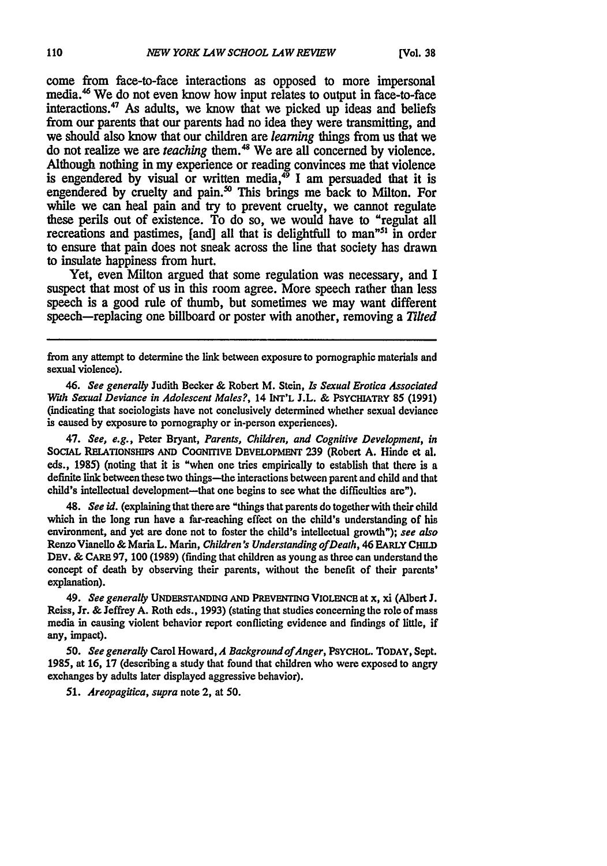come from face-to-face interactions as opposed to more impersonal media.<sup>46</sup> We do not even know how input relates to output in face-to-face interactions. $47$  As adults, we know that we picked up ideas and beliefs from our parents that our parents had no idea they were transmitting, and we should also know that our children are *learning* things from us that we do not realize we are *teaching* them.'" We are **all** concerned **by** violence. Although nothing in my experience or reading convinces me that violence is engendered by visual or written media,<sup>49</sup> I am persuaded that it is engendered by cruelty and pain.<sup>50</sup> This brings me back to Milton. For while we can heal pain and try to prevent cruelty, we cannot regulate these perils out of existence. To do so, we would have to "regulat all recreations and pastimes, [and] all that is delightfull to man<sup> $n51$ </sup> in order to ensure that pain does not sneak across the line that society has drawn to insulate happiness from hurt.

Yet, even Milton argued that some regulation was necessary, and I suspect that most of us in this room agree. More speech rather than less speech is a good rule of thumb, but sometimes we may want different speech-replacing one billboard or poster with another, removing a *Tilted*

47. See, *e.g.,* Peter Bryant, *Parents, Children, and Cognitive Development, in* **SOCIAL RELATIONSHIPS AND COGNITIVE DEVELOPMENT 239** (Robert **A.** Hinde et **al.** eds., **1985)** (noting that it is "when one tries empirically to establish that there is a definite link between these two things—the interactions between parent and child and that child's intellectual development—that one begins to see what the difficulties are").

48. *See id.* (explaining that there are "things that parents do together with their child which in the long run have a far-reaching effect on the child's understanding of his environment, and yet are done not to foster the child's intellectual growth"); *see also* Renzo Vianello **&** Maria L. Main, *Children's Understanding ofDeath,* 46 **EARLY** *CHILD* **DEv. & CARE 97, 100** (1989) (finding that children as young as three can understand the concept of death **by** observing their parents, without the benefit of their parents' explanation).

49. *See generally* **UNDERSTANDING AND PREVENTING VIOLENCE** at x, xi (Albert **J.** Reiss, Jr. **&** Jeffrey **A.** Roth eds., **1993)** (stating that studies concerning the role of mass media in causing violent behavior report conflicting evidence and findings of little, if any, impact).

*50. See generally* Carol Howard, *A Background ofAnger,* **PSYCHOL. TODAY,** Sept. **1985,** at **16, 17** (describing a study that found that children who were exposed to angry exchanges **by** adults later displayed aggressive behavior).

*51. Areopagitica, supra* note 2, at *50.*

from any attempt to determine the link between exposure to pornographic materials and sexual violence).

*<sup>46.</sup>* See generally Judith Becker **&** Robert M. Stein, **Is** *Sexual Erotica Associated Wah* Sexual Deviance in *Adolescent Males?,* **14 INT'L J.L. & PSYCHIATRY 85 (1991)** (indicating that sociologists have not conclusively determined whether sexual deviance is caused **by** exposure to pornography or in-person experiences).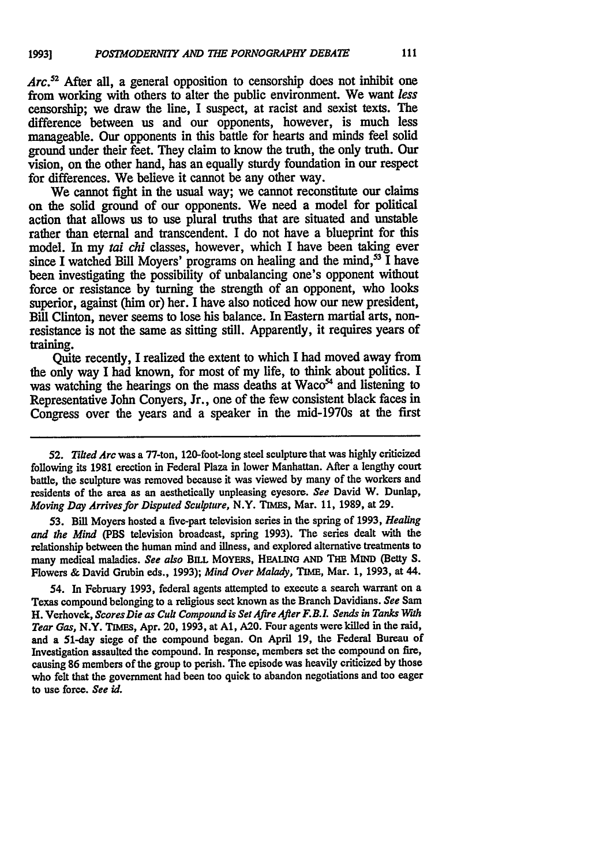*Arc.52* After all, a general opposition to censorship does not inhibit one from working with others to alter the public environment. We want *less* censorship; we draw the line, **I** suspect, at racist and sexist texts. The difference between us and our opponents, however, is much less manageable. Our opponents in this battle for hearts and minds feel solid ground under their feet. They claim to know the truth, the only truth. Our vision, on the other hand, has an equally sturdy foundation in our respect for differences. We believe it cannot be any other way.

We cannot fight in the usual way; we cannot reconstitute our **claims** on the solid ground of our opponents. We need a model for political action that allows us to use plural truths that are situated and unstable rather **than** eternal and transcendent. I do not have a blueprint for this model. In my *tai chi* classes, however, which I have been taking ever since I watched Bill Moyers' programs on healing and the mind,<sup>53</sup> I have been investigating the possibility of unbalancing one's opponent without force or resistance **by** turning the strength of an opponent, who looks superior, against (him or) her. **I** have also noticed how our new president, Bill Clinton, never seems to lose his balance. In Eastern martial arts, nonresistance is not the same as sitting still. Apparently, it requires years of training.

Quite recently, I realized the extent to which I had moved away from the only way I had known, for most of my life, to think about politics. I was watching the hearings on the mass deaths at Waco<sup>54</sup> and listening to Representative John Conyers, Jr., one of the few consistent black faces in Congress over the years and a speaker in the mid-1970s at the first

*53.* Bill Moyers hosted a five-part television series in the spring of **1993,** *Healing and the Mind* (PBS television broadcast, spring **1993).** The series dealt with the relationship between the human mind and illness, and explored alternative treatments **to** many medical maladies. *See also* **BILL** MoYERs, HEALING **AND** THE MIND (Betty S. Flowers **&** David Grubin eds., **1993);** *Mind Over Malady, TIME,* Mar. **1, 1993,** at 44.

54. In February **1993,** federal agents attempted **to** execute a search warrant on a Texas compound belonging to a religious sect known as the Branch Davidians. *See* Sam H. Verhovek, *Scores Die as Cult Compound is Set Afire After F.B.iL Sends in Tanks With Tear Gas,* N.Y. **TIMES,** Apr. 20, **1993,** at **Al, A20.** Four agents were killed in the raid, and a 51-day siege of the compound began. On April **19,** the Federal Bureau of Investigation assaulted the compound. In response, members set the compound on fire, causing **86** members of the group to perish. The episode was heavily criticized **by** those who felt that the government had been too quick to abandon negotiations and too eager **to** use force. *See id.*

**<sup>52.</sup>** *Tilted Arc* was a 77-ton, 120-foot-long steel sculpture that was **highly** criticized following its **1981** erection in Federal Plaza in lower Manhattan. After a lengthy court battle, the sculpture was removed because it was viewed **by** many of the workers and residents of the area as an aesthetically unpleasing eyesore. *See* David W. Dunlap, *Moving Day* Arrives for Disputed Sculpture, N.Y. **TIMES,** Mar. **11, 1989,** at **29.**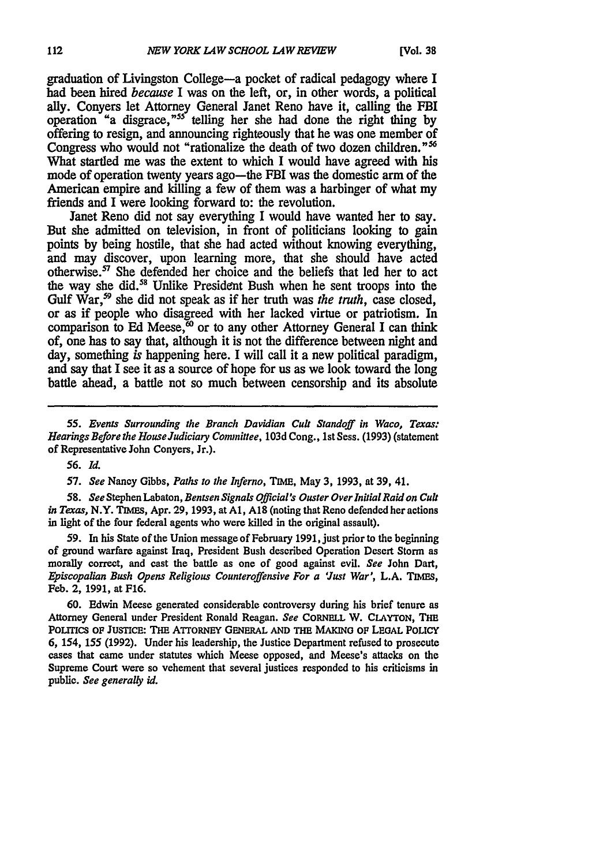graduation of Livingston College-a pocket of radical pedagogy where I had been hired *because* I was on the left, or, in other words, a political ally. Conyers let Attorney General Janet Reno have it, calling the FBI operation "a disgrace,"55 telling her she had done the right thing **by** offering to resign, and announcing righteously that he was one member of Congress who would not "rationalize the death of two dozen children."<sup>56</sup> What startled me was the extent to which **I** would have agreed with his mode of operation twenty years ago—the FBI was the domestic arm of the American empire and killing a few of them was a harbinger of what my friends and I were looking forward to: the revolution.

Janet Reno did not say everything **I** would have wanted her to say. But she admitted on television, in front of politicians looking to gain points **by** being hostile, that she had acted without knowing everything, and may discover, upon learning more, that she should have acted otherwise.<sup>57</sup> She defended her choice and the beliefs that led her to act the way she did.<sup>58</sup> Unlike President Bush when he sent troops into the Gulf War,<sup>59</sup> she did not speak as if her truth was *the truth*, case closed, or as if people who disagreed with her lacked virtue or patriotism. In comparison to Ed Meese, $60$  or to any other Attorney General I can think of, one has to say that, although it is not the difference between night and day, something *is* happening here. I will call it a new political paradigm, and say that **I** see it as a source of hope for us as we look toward the long battle ahead, a battle not so much between censorship and its absolute

*55. Events Surrounding the Branch* Davidian Cult Standoff **in** *Waco, Texas: Hearings Before the House Judiciary Committee, 103d Cong., 1st Sess. (1993) (statement* of Representative John Conyers, Jr.).

*56. Id.*

*57. See* Nancy Gibbs, *Paths to the Inferno,* **TIME,** May **3, 1993,** at **39,** 41.

*58. See* Stephen Labaton, *Bentsen Signals Official's Ouster Over Initial Raid on Cult in Texas,* N.Y. **TIMES,** Apr. **29,** 1993, at **Al, A1S** (noting that Reno defended her actions in light of the four federal agents who were killed in the original assault).

59. In his State of the Union message of February 1991, just prior to the beginning of ground warfare against Iraq, President Bush described Operation Desert Storm as morally correct, and cast the battle as one of good against evil. *See* John Dart, *Episcopalian Bush Opens Religious Counteroffensive For a 'Just War',* L.A. **TIMES,** Feb. 2, 1991, at F16.

60. Edwin Meese generated considerable controversy during his brief tenure as Attorney General under President Ronald Reagan. *See* CORNELL W. **CLAYTON,** THE PoLiTrcs OF **JUSTICE:** Tim ArToRNEY **GENERAL AND THE MAKINO** OF **LEIGAL** POLICY 6, 154, 155 **(1992).** Under his leadership, the Justice Department refused to prosecute cases that came under statutes which Meese opposed, and Meese's attacks on the Supreme Court were so vehement that several justices responded to his criticisms in public. *See generally id.*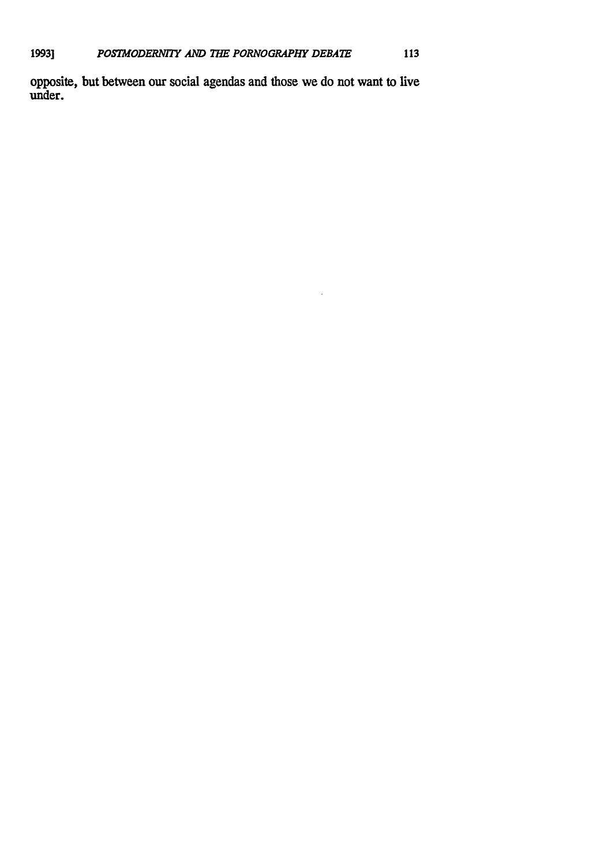opposite, but between our social agendas and those we do not want to live under.

 $\bar{\gamma}$